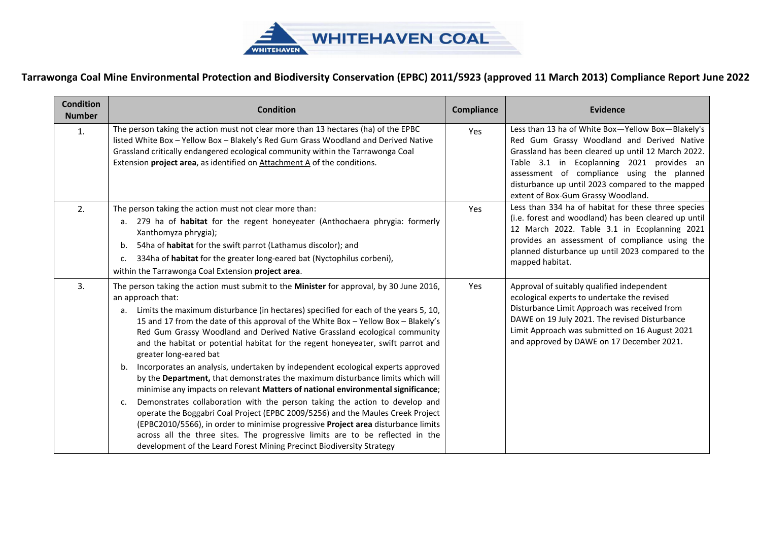

| The person taking the action must not clear more than 13 hectares (ha) of the EPBC<br>listed White Box - Yellow Box - Blakely's Red Gum Grass Woodland and Derived Native<br>Grassland critically endangered ecological community within the Tarrawonga Coal<br>Extension project area, as identified on Attachment A of the conditions. | Yes                                                                                                                                                                                                                                                                                                                                                                                                                                                                                                                                                                                                                                                                                                                                                                                                                                                                                                                                                                                                                                                                                                              | Less than 13 ha of White Box-Yellow Box-Blakely's<br>Red Gum Grassy Woodland and Derived Native<br>Grassland has been cleared up until 12 March 2022.<br>Table 3.1 in Ecoplanning 2021 provides an<br>assessment of compliance using the planned<br>disturbance up until 2023 compared to the mapped<br>extent of Box-Gum Grassy Woodland. |
|------------------------------------------------------------------------------------------------------------------------------------------------------------------------------------------------------------------------------------------------------------------------------------------------------------------------------------------|------------------------------------------------------------------------------------------------------------------------------------------------------------------------------------------------------------------------------------------------------------------------------------------------------------------------------------------------------------------------------------------------------------------------------------------------------------------------------------------------------------------------------------------------------------------------------------------------------------------------------------------------------------------------------------------------------------------------------------------------------------------------------------------------------------------------------------------------------------------------------------------------------------------------------------------------------------------------------------------------------------------------------------------------------------------------------------------------------------------|--------------------------------------------------------------------------------------------------------------------------------------------------------------------------------------------------------------------------------------------------------------------------------------------------------------------------------------------|
|                                                                                                                                                                                                                                                                                                                                          |                                                                                                                                                                                                                                                                                                                                                                                                                                                                                                                                                                                                                                                                                                                                                                                                                                                                                                                                                                                                                                                                                                                  |                                                                                                                                                                                                                                                                                                                                            |
| a. 279 ha of habitat for the regent honeyeater (Anthochaera phrygia: formerly<br>54ha of habitat for the swift parrot (Lathamus discolor); and                                                                                                                                                                                           | Yes                                                                                                                                                                                                                                                                                                                                                                                                                                                                                                                                                                                                                                                                                                                                                                                                                                                                                                                                                                                                                                                                                                              | Less than 334 ha of habitat for these three species<br>(i.e. forest and woodland) has been cleared up until<br>12 March 2022. Table 3.1 in Ecoplanning 2021<br>provides an assessment of compliance using the<br>planned disturbance up until 2023 compared to the<br>mapped habitat.                                                      |
|                                                                                                                                                                                                                                                                                                                                          | Yes                                                                                                                                                                                                                                                                                                                                                                                                                                                                                                                                                                                                                                                                                                                                                                                                                                                                                                                                                                                                                                                                                                              | Approval of suitably qualified independent<br>ecological experts to undertake the revised<br>Disturbance Limit Approach was received from<br>DAWE on 19 July 2021. The revised Disturbance<br>Limit Approach was submitted on 16 August 2021<br>and approved by DAWE on 17 December 2021.                                                  |
|                                                                                                                                                                                                                                                                                                                                          |                                                                                                                                                                                                                                                                                                                                                                                                                                                                                                                                                                                                                                                                                                                                                                                                                                                                                                                                                                                                                                                                                                                  |                                                                                                                                                                                                                                                                                                                                            |
| development of the Leard Forest Mining Precinct Biodiversity Strategy                                                                                                                                                                                                                                                                    | 334ha of habitat for the greater long-eared bat (Nyctophilus corbeni),<br>The person taking the action must submit to the Minister for approval, by 30 June 2016,<br>Limits the maximum disturbance (in hectares) specified for each of the years 5, 10,<br>15 and 17 from the date of this approval of the White Box - Yellow Box - Blakely's<br>Red Gum Grassy Woodland and Derived Native Grassland ecological community<br>and the habitat or potential habitat for the regent honeyeater, swift parrot and<br>Incorporates an analysis, undertaken by independent ecological experts approved<br>by the Department, that demonstrates the maximum disturbance limits which will<br>minimise any impacts on relevant Matters of national environmental significance;<br>Demonstrates collaboration with the person taking the action to develop and<br>operate the Boggabri Coal Project (EPBC 2009/5256) and the Maules Creek Project<br>(EPBC2010/5566), in order to minimise progressive Project area disturbance limits<br>across all the three sites. The progressive limits are to be reflected in the |                                                                                                                                                                                                                                                                                                                                            |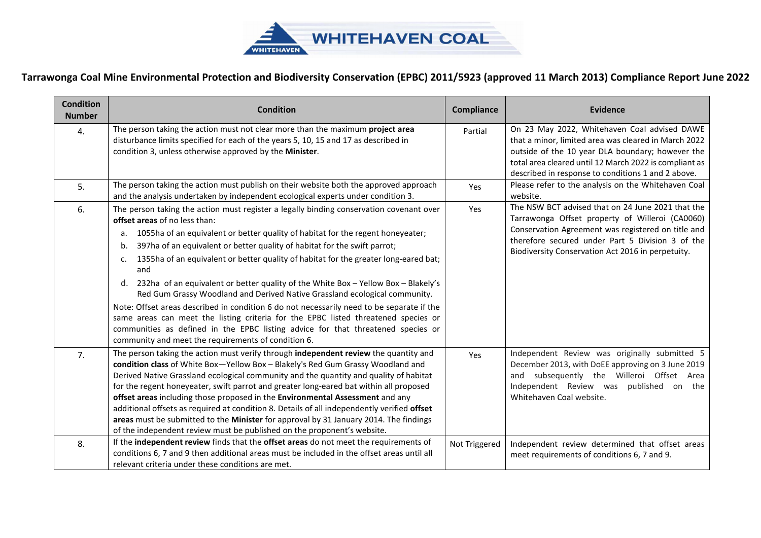

| <b>Condition</b><br><b>Number</b> | <b>Condition</b>                                                                                                                                                                                                                                                                                                                                                                                                                                                                                                                                                                                                                                                                                                                                                                                                                                                                                                  | <b>Compliance</b> | <b>Evidence</b>                                                                                                                                                                                                                                                          |
|-----------------------------------|-------------------------------------------------------------------------------------------------------------------------------------------------------------------------------------------------------------------------------------------------------------------------------------------------------------------------------------------------------------------------------------------------------------------------------------------------------------------------------------------------------------------------------------------------------------------------------------------------------------------------------------------------------------------------------------------------------------------------------------------------------------------------------------------------------------------------------------------------------------------------------------------------------------------|-------------------|--------------------------------------------------------------------------------------------------------------------------------------------------------------------------------------------------------------------------------------------------------------------------|
| 4.                                | The person taking the action must not clear more than the maximum project area<br>disturbance limits specified for each of the years 5, 10, 15 and 17 as described in<br>condition 3, unless otherwise approved by the Minister.                                                                                                                                                                                                                                                                                                                                                                                                                                                                                                                                                                                                                                                                                  | Partial           | On 23 May 2022, Whitehaven Coal advised DAWE<br>that a minor, limited area was cleared in March 2022<br>outside of the 10 year DLA boundary; however the<br>total area cleared until 12 March 2022 is compliant as<br>described in response to conditions 1 and 2 above. |
| 5.                                | The person taking the action must publish on their website both the approved approach<br>and the analysis undertaken by independent ecological experts under condition 3.                                                                                                                                                                                                                                                                                                                                                                                                                                                                                                                                                                                                                                                                                                                                         | Yes               | Please refer to the analysis on the Whitehaven Coal<br>website.                                                                                                                                                                                                          |
| 6.                                | The person taking the action must register a legally binding conservation covenant over<br>offset areas of no less than:<br>1055ha of an equivalent or better quality of habitat for the regent honeyeater;<br>а.<br>397ha of an equivalent or better quality of habitat for the swift parrot;<br>b.<br>1355ha of an equivalent or better quality of habitat for the greater long-eared bat;<br>c.<br>and<br>232ha of an equivalent or better quality of the White Box - Yellow Box - Blakely's<br>d.<br>Red Gum Grassy Woodland and Derived Native Grassland ecological community.<br>Note: Offset areas described in condition 6 do not necessarily need to be separate if the<br>same areas can meet the listing criteria for the EPBC listed threatened species or<br>communities as defined in the EPBC listing advice for that threatened species or<br>community and meet the requirements of condition 6. | Yes               | The NSW BCT advised that on 24 June 2021 that the<br>Tarrawonga Offset property of Willeroi (CA0060)<br>Conservation Agreement was registered on title and<br>therefore secured under Part 5 Division 3 of the<br>Biodiversity Conservation Act 2016 in perpetuity.      |
| 7.                                | The person taking the action must verify through independent review the quantity and<br>condition class of White Box-Yellow Box-Blakely's Red Gum Grassy Woodland and<br>Derived Native Grassland ecological community and the quantity and quality of habitat<br>for the regent honeyeater, swift parrot and greater long-eared bat within all proposed<br>offset areas including those proposed in the Environmental Assessment and any<br>additional offsets as required at condition 8. Details of all independently verified offset<br>areas must be submitted to the Minister for approval by 31 January 2014. The findings<br>of the independent review must be published on the proponent's website.                                                                                                                                                                                                      | Yes               | Independent Review was originally submitted 5<br>December 2013, with DoEE approving on 3 June 2019<br>and subsequently the Willeroi Offset Area<br>Independent Review was published on the<br>Whitehaven Coal website.                                                   |
| 8.                                | If the independent review finds that the offset areas do not meet the requirements of<br>conditions 6, 7 and 9 then additional areas must be included in the offset areas until all<br>relevant criteria under these conditions are met.                                                                                                                                                                                                                                                                                                                                                                                                                                                                                                                                                                                                                                                                          | Not Triggered     | Independent review determined that offset areas<br>meet requirements of conditions 6, 7 and 9.                                                                                                                                                                           |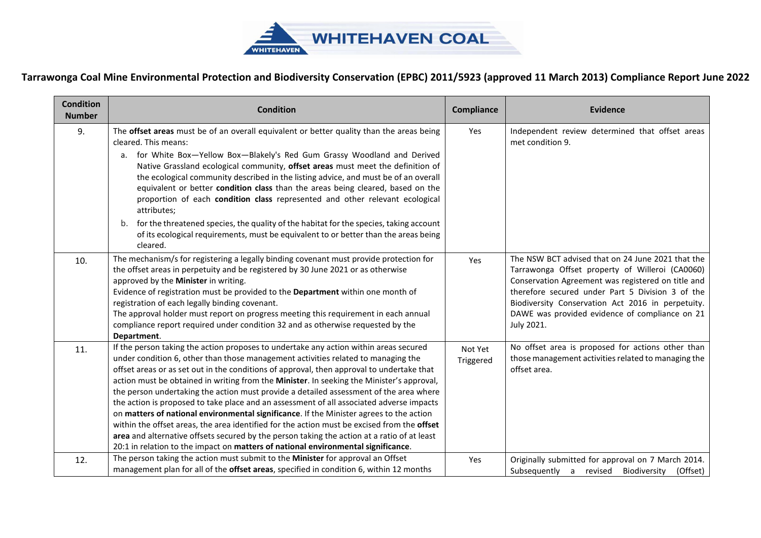

| <b>Condition</b><br><b>Number</b> | <b>Condition</b>                                                                                                                                                                                                                                                                                                                                                                                                                                                                                                                                                                                                                                                                                                                                                                                                                                                                                                                         | Compliance           | <b>Evidence</b>                                                                                                                                                                                                                                                                                                                     |
|-----------------------------------|------------------------------------------------------------------------------------------------------------------------------------------------------------------------------------------------------------------------------------------------------------------------------------------------------------------------------------------------------------------------------------------------------------------------------------------------------------------------------------------------------------------------------------------------------------------------------------------------------------------------------------------------------------------------------------------------------------------------------------------------------------------------------------------------------------------------------------------------------------------------------------------------------------------------------------------|----------------------|-------------------------------------------------------------------------------------------------------------------------------------------------------------------------------------------------------------------------------------------------------------------------------------------------------------------------------------|
| 9.                                | The offset areas must be of an overall equivalent or better quality than the areas being<br>cleared. This means:<br>a. for White Box-Yellow Box-Blakely's Red Gum Grassy Woodland and Derived                                                                                                                                                                                                                                                                                                                                                                                                                                                                                                                                                                                                                                                                                                                                            | Yes                  | Independent review determined that offset areas<br>met condition 9.                                                                                                                                                                                                                                                                 |
|                                   | Native Grassland ecological community, offset areas must meet the definition of<br>the ecological community described in the listing advice, and must be of an overall<br>equivalent or better condition class than the areas being cleared, based on the<br>proportion of each condition class represented and other relevant ecological<br>attributes;                                                                                                                                                                                                                                                                                                                                                                                                                                                                                                                                                                                 |                      |                                                                                                                                                                                                                                                                                                                                     |
|                                   | b. for the threatened species, the quality of the habitat for the species, taking account<br>of its ecological requirements, must be equivalent to or better than the areas being<br>cleared.                                                                                                                                                                                                                                                                                                                                                                                                                                                                                                                                                                                                                                                                                                                                            |                      |                                                                                                                                                                                                                                                                                                                                     |
| 10.                               | The mechanism/s for registering a legally binding covenant must provide protection for<br>the offset areas in perpetuity and be registered by 30 June 2021 or as otherwise<br>approved by the Minister in writing.<br>Evidence of registration must be provided to the Department within one month of<br>registration of each legally binding covenant.<br>The approval holder must report on progress meeting this requirement in each annual<br>compliance report required under condition 32 and as otherwise requested by the<br>Department.                                                                                                                                                                                                                                                                                                                                                                                         | Yes                  | The NSW BCT advised that on 24 June 2021 that the<br>Tarrawonga Offset property of Willeroi (CA0060)<br>Conservation Agreement was registered on title and<br>therefore secured under Part 5 Division 3 of the<br>Biodiversity Conservation Act 2016 in perpetuity.<br>DAWE was provided evidence of compliance on 21<br>July 2021. |
| 11.                               | If the person taking the action proposes to undertake any action within areas secured<br>under condition 6, other than those management activities related to managing the<br>offset areas or as set out in the conditions of approval, then approval to undertake that<br>action must be obtained in writing from the Minister. In seeking the Minister's approval,<br>the person undertaking the action must provide a detailed assessment of the area where<br>the action is proposed to take place and an assessment of all associated adverse impacts<br>on matters of national environmental significance. If the Minister agrees to the action<br>within the offset areas, the area identified for the action must be excised from the offset<br>area and alternative offsets secured by the person taking the action at a ratio of at least<br>20:1 in relation to the impact on matters of national environmental significance. | Not Yet<br>Triggered | No offset area is proposed for actions other than<br>those management activities related to managing the<br>offset area.                                                                                                                                                                                                            |
| 12.                               | The person taking the action must submit to the Minister for approval an Offset<br>management plan for all of the offset areas, specified in condition 6, within 12 months                                                                                                                                                                                                                                                                                                                                                                                                                                                                                                                                                                                                                                                                                                                                                               | Yes                  | Originally submitted for approval on 7 March 2014.<br>Subsequently a revised<br>Biodiversity<br>(Offset)                                                                                                                                                                                                                            |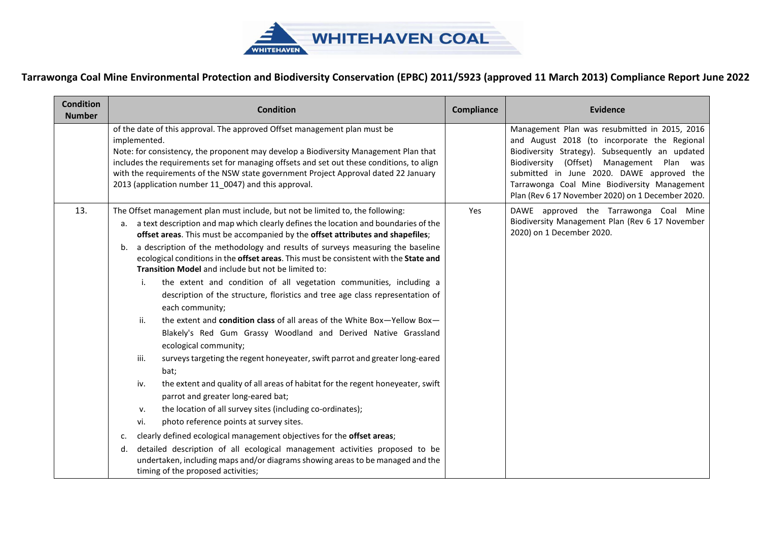

| <b>Condition</b><br><b>Number</b> | <b>Condition</b>                                                                                                                                                                                                                                                                                                                                                                                                                                                                                                                                                                                                                                                                                                                                                                                                                                                                                                                                          | <b>Compliance</b> | Evidence                                                                                                                                                                                                                                                                                                                                        |
|-----------------------------------|-----------------------------------------------------------------------------------------------------------------------------------------------------------------------------------------------------------------------------------------------------------------------------------------------------------------------------------------------------------------------------------------------------------------------------------------------------------------------------------------------------------------------------------------------------------------------------------------------------------------------------------------------------------------------------------------------------------------------------------------------------------------------------------------------------------------------------------------------------------------------------------------------------------------------------------------------------------|-------------------|-------------------------------------------------------------------------------------------------------------------------------------------------------------------------------------------------------------------------------------------------------------------------------------------------------------------------------------------------|
|                                   | of the date of this approval. The approved Offset management plan must be<br>implemented.<br>Note: for consistency, the proponent may develop a Biodiversity Management Plan that<br>includes the requirements set for managing offsets and set out these conditions, to align<br>with the requirements of the NSW state government Project Approval dated 22 January<br>2013 (application number 11 0047) and this approval.                                                                                                                                                                                                                                                                                                                                                                                                                                                                                                                             |                   | Management Plan was resubmitted in 2015, 2016<br>and August 2018 (to incorporate the Regional<br>Biodiversity Strategy). Subsequently an updated<br>Biodiversity (Offset) Management Plan was<br>submitted in June 2020. DAWE approved the<br>Tarrawonga Coal Mine Biodiversity Management<br>Plan (Rev 6 17 November 2020) on 1 December 2020. |
| 13.                               | The Offset management plan must include, but not be limited to, the following:<br>a. a text description and map which clearly defines the location and boundaries of the<br>offset areas. This must be accompanied by the offset attributes and shapefiles;                                                                                                                                                                                                                                                                                                                                                                                                                                                                                                                                                                                                                                                                                               | Yes               | DAWE approved the Tarrawonga Coal Mine<br>Biodiversity Management Plan (Rev 6 17 November<br>2020) on 1 December 2020.                                                                                                                                                                                                                          |
|                                   | a description of the methodology and results of surveys measuring the baseline<br>b.<br>ecological conditions in the offset areas. This must be consistent with the State and<br>Transition Model and include but not be limited to:<br>the extent and condition of all vegetation communities, including a<br>i.<br>description of the structure, floristics and tree age class representation of<br>each community;<br>the extent and condition class of all areas of the White Box-Yellow Box-<br>ii.<br>Blakely's Red Gum Grassy Woodland and Derived Native Grassland<br>ecological community;<br>surveys targeting the regent honeyeater, swift parrot and greater long-eared<br>iii.<br>bat;<br>the extent and quality of all areas of habitat for the regent honeyeater, swift<br>iv.<br>parrot and greater long-eared bat;<br>the location of all survey sites (including co-ordinates);<br>v.<br>photo reference points at survey sites.<br>vi. |                   |                                                                                                                                                                                                                                                                                                                                                 |
|                                   | clearly defined ecological management objectives for the offset areas;<br>c.<br>detailed description of all ecological management activities proposed to be<br>d.<br>undertaken, including maps and/or diagrams showing areas to be managed and the<br>timing of the proposed activities;                                                                                                                                                                                                                                                                                                                                                                                                                                                                                                                                                                                                                                                                 |                   |                                                                                                                                                                                                                                                                                                                                                 |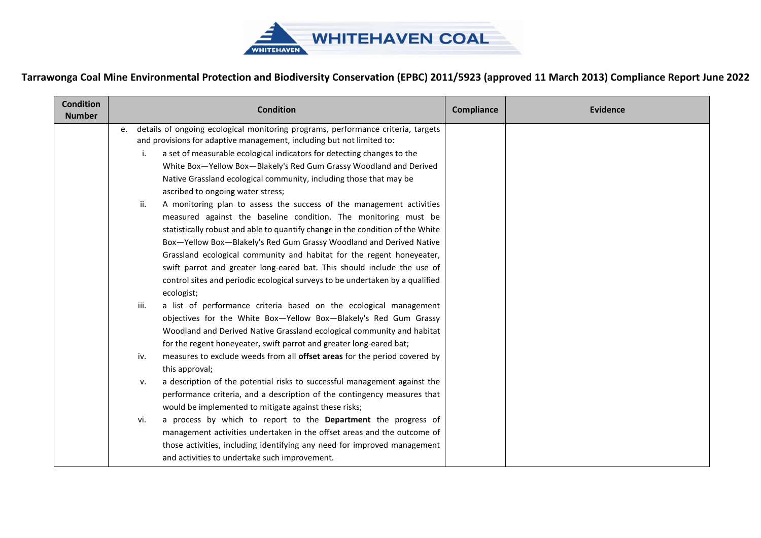

| <b>Condition</b><br><b>Number</b> |      | <b>Condition</b>                                                                                                                                          | <b>Compliance</b> | <b>Evidence</b> |
|-----------------------------------|------|-----------------------------------------------------------------------------------------------------------------------------------------------------------|-------------------|-----------------|
|                                   | e.   | details of ongoing ecological monitoring programs, performance criteria, targets<br>and provisions for adaptive management, including but not limited to: |                   |                 |
|                                   | i.   | a set of measurable ecological indicators for detecting changes to the                                                                                    |                   |                 |
|                                   |      | White Box-Yellow Box-Blakely's Red Gum Grassy Woodland and Derived                                                                                        |                   |                 |
|                                   |      | Native Grassland ecological community, including those that may be                                                                                        |                   |                 |
|                                   |      | ascribed to ongoing water stress;                                                                                                                         |                   |                 |
|                                   | ii.  | A monitoring plan to assess the success of the management activities                                                                                      |                   |                 |
|                                   |      | measured against the baseline condition. The monitoring must be                                                                                           |                   |                 |
|                                   |      | statistically robust and able to quantify change in the condition of the White                                                                            |                   |                 |
|                                   |      | Box-Yellow Box-Blakely's Red Gum Grassy Woodland and Derived Native                                                                                       |                   |                 |
|                                   |      | Grassland ecological community and habitat for the regent honeyeater,                                                                                     |                   |                 |
|                                   |      | swift parrot and greater long-eared bat. This should include the use of                                                                                   |                   |                 |
|                                   |      | control sites and periodic ecological surveys to be undertaken by a qualified                                                                             |                   |                 |
|                                   |      | ecologist;                                                                                                                                                |                   |                 |
|                                   | iii. | a list of performance criteria based on the ecological management                                                                                         |                   |                 |
|                                   |      | objectives for the White Box-Yellow Box-Blakely's Red Gum Grassy                                                                                          |                   |                 |
|                                   |      | Woodland and Derived Native Grassland ecological community and habitat                                                                                    |                   |                 |
|                                   |      | for the regent honeyeater, swift parrot and greater long-eared bat;                                                                                       |                   |                 |
|                                   | iv.  | measures to exclude weeds from all offset areas for the period covered by                                                                                 |                   |                 |
|                                   |      | this approval;                                                                                                                                            |                   |                 |
|                                   | ν.   | a description of the potential risks to successful management against the                                                                                 |                   |                 |
|                                   |      | performance criteria, and a description of the contingency measures that                                                                                  |                   |                 |
|                                   |      | would be implemented to mitigate against these risks;                                                                                                     |                   |                 |
|                                   | vi.  | a process by which to report to the Department the progress of                                                                                            |                   |                 |
|                                   |      | management activities undertaken in the offset areas and the outcome of                                                                                   |                   |                 |
|                                   |      | those activities, including identifying any need for improved management                                                                                  |                   |                 |
|                                   |      | and activities to undertake such improvement.                                                                                                             |                   |                 |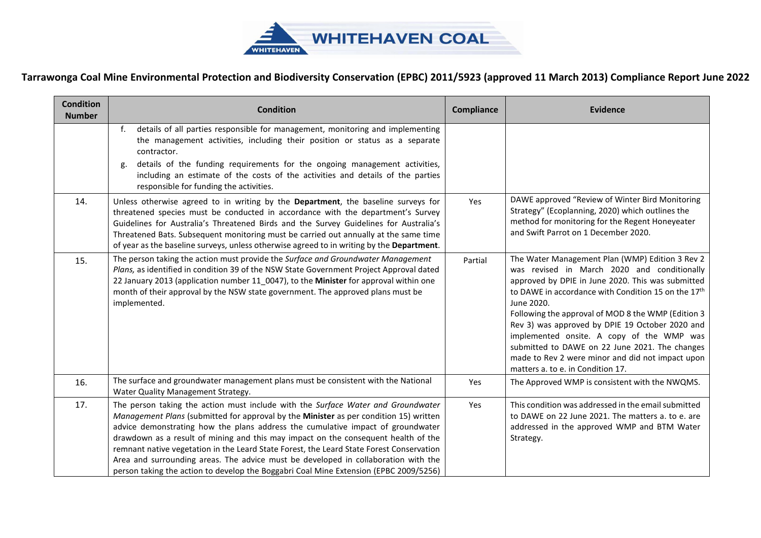

| <b>Condition</b><br><b>Number</b> | <b>Condition</b>                                                                                                                                                                                                                                                                                                                                                                                                                                                                                                                                                                                                              | <b>Compliance</b> | <b>Evidence</b>                                                                                                                                                                                                                                                                                                                                                                                                                                                                                                                       |
|-----------------------------------|-------------------------------------------------------------------------------------------------------------------------------------------------------------------------------------------------------------------------------------------------------------------------------------------------------------------------------------------------------------------------------------------------------------------------------------------------------------------------------------------------------------------------------------------------------------------------------------------------------------------------------|-------------------|---------------------------------------------------------------------------------------------------------------------------------------------------------------------------------------------------------------------------------------------------------------------------------------------------------------------------------------------------------------------------------------------------------------------------------------------------------------------------------------------------------------------------------------|
|                                   | details of all parties responsible for management, monitoring and implementing<br>f.<br>the management activities, including their position or status as a separate<br>contractor.                                                                                                                                                                                                                                                                                                                                                                                                                                            |                   |                                                                                                                                                                                                                                                                                                                                                                                                                                                                                                                                       |
|                                   | details of the funding requirements for the ongoing management activities,<br>g.<br>including an estimate of the costs of the activities and details of the parties<br>responsible for funding the activities.                                                                                                                                                                                                                                                                                                                                                                                                                |                   |                                                                                                                                                                                                                                                                                                                                                                                                                                                                                                                                       |
| 14.                               | Unless otherwise agreed to in writing by the Department, the baseline surveys for<br>threatened species must be conducted in accordance with the department's Survey<br>Guidelines for Australia's Threatened Birds and the Survey Guidelines for Australia's<br>Threatened Bats. Subsequent monitoring must be carried out annually at the same time<br>of year as the baseline surveys, unless otherwise agreed to in writing by the Department.                                                                                                                                                                            | Yes               | DAWE approved "Review of Winter Bird Monitoring<br>Strategy" (Ecoplanning, 2020) which outlines the<br>method for monitoring for the Regent Honeyeater<br>and Swift Parrot on 1 December 2020.                                                                                                                                                                                                                                                                                                                                        |
| 15.                               | The person taking the action must provide the Surface and Groundwater Management<br>Plans, as identified in condition 39 of the NSW State Government Project Approval dated<br>22 January 2013 (application number 11_0047), to the Minister for approval within one<br>month of their approval by the NSW state government. The approved plans must be<br>implemented.                                                                                                                                                                                                                                                       | Partial           | The Water Management Plan (WMP) Edition 3 Rev 2<br>was revised in March 2020 and conditionally<br>approved by DPIE in June 2020. This was submitted<br>to DAWE in accordance with Condition 15 on the 17 <sup>th</sup><br>June 2020.<br>Following the approval of MOD 8 the WMP (Edition 3<br>Rev 3) was approved by DPIE 19 October 2020 and<br>implemented onsite. A copy of the WMP was<br>submitted to DAWE on 22 June 2021. The changes<br>made to Rev 2 were minor and did not impact upon<br>matters a. to e. in Condition 17. |
| 16.                               | The surface and groundwater management plans must be consistent with the National<br>Water Quality Management Strategy.                                                                                                                                                                                                                                                                                                                                                                                                                                                                                                       | Yes               | The Approved WMP is consistent with the NWQMS.                                                                                                                                                                                                                                                                                                                                                                                                                                                                                        |
| 17.                               | The person taking the action must include with the Surface Water and Groundwater<br>Management Plans (submitted for approval by the Minister as per condition 15) written<br>advice demonstrating how the plans address the cumulative impact of groundwater<br>drawdown as a result of mining and this may impact on the consequent health of the<br>remnant native vegetation in the Leard State Forest, the Leard State Forest Conservation<br>Area and surrounding areas. The advice must be developed in collaboration with the<br>person taking the action to develop the Boggabri Coal Mine Extension (EPBC 2009/5256) | Yes               | This condition was addressed in the email submitted<br>to DAWE on 22 June 2021. The matters a. to e. are<br>addressed in the approved WMP and BTM Water<br>Strategy.                                                                                                                                                                                                                                                                                                                                                                  |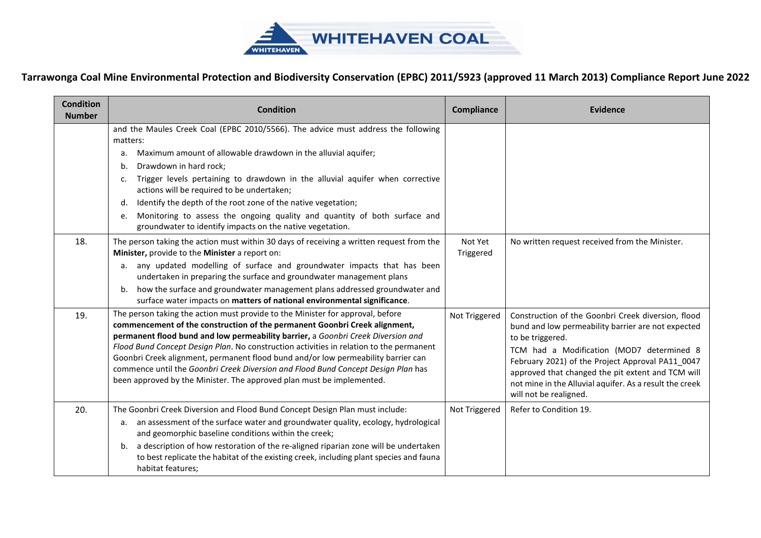

| <b>Condition</b><br><b>Number</b> | <b>Condition</b>                                                                                                                                                                                                                                                                                                                           | Compliance           | <b>Evidence</b>                                                                                                                                                                                                                         |
|-----------------------------------|--------------------------------------------------------------------------------------------------------------------------------------------------------------------------------------------------------------------------------------------------------------------------------------------------------------------------------------------|----------------------|-----------------------------------------------------------------------------------------------------------------------------------------------------------------------------------------------------------------------------------------|
|                                   | and the Maules Creek Coal (EPBC 2010/5566). The advice must address the following<br>matters:                                                                                                                                                                                                                                              |                      |                                                                                                                                                                                                                                         |
|                                   | Maximum amount of allowable drawdown in the alluvial aquifer;<br>а.                                                                                                                                                                                                                                                                        |                      |                                                                                                                                                                                                                                         |
|                                   | Drawdown in hard rock;<br>b.                                                                                                                                                                                                                                                                                                               |                      |                                                                                                                                                                                                                                         |
|                                   | Trigger levels pertaining to drawdown in the alluvial aquifer when corrective<br>c.<br>actions will be required to be undertaken;                                                                                                                                                                                                          |                      |                                                                                                                                                                                                                                         |
|                                   | Identify the depth of the root zone of the native vegetation;<br>d.                                                                                                                                                                                                                                                                        |                      |                                                                                                                                                                                                                                         |
|                                   | Monitoring to assess the ongoing quality and quantity of both surface and<br>e.<br>groundwater to identify impacts on the native vegetation.                                                                                                                                                                                               |                      |                                                                                                                                                                                                                                         |
| 18.                               | The person taking the action must within 30 days of receiving a written request from the<br>Minister, provide to the Minister a report on:                                                                                                                                                                                                 | Not Yet<br>Triggered | No written request received from the Minister.                                                                                                                                                                                          |
|                                   | any updated modelling of surface and groundwater impacts that has been<br>а.<br>undertaken in preparing the surface and groundwater management plans                                                                                                                                                                                       |                      |                                                                                                                                                                                                                                         |
|                                   | how the surface and groundwater management plans addressed groundwater and<br>b.<br>surface water impacts on matters of national environmental significance.                                                                                                                                                                               |                      |                                                                                                                                                                                                                                         |
| 19.                               | The person taking the action must provide to the Minister for approval, before<br>commencement of the construction of the permanent Goonbri Creek alignment,<br>permanent flood bund and low permeability barrier, a Goonbri Creek Diversion and                                                                                           | Not Triggered        | Construction of the Goonbri Creek diversion, flood<br>bund and low permeability barrier are not expected<br>to be triggered.                                                                                                            |
|                                   | Flood Bund Concept Design Plan. No construction activities in relation to the permanent<br>Goonbri Creek alignment, permanent flood bund and/or low permeability barrier can<br>commence until the Goonbri Creek Diversion and Flood Bund Concept Design Plan has<br>been approved by the Minister. The approved plan must be implemented. |                      | TCM had a Modification (MOD7 determined 8<br>February 2021) of the Project Approval PA11_0047<br>approved that changed the pit extent and TCM will<br>not mine in the Alluvial aquifer. As a result the creek<br>will not be realigned. |
| 20.                               | The Goonbri Creek Diversion and Flood Bund Concept Design Plan must include:                                                                                                                                                                                                                                                               | Not Triggered        | Refer to Condition 19.                                                                                                                                                                                                                  |
|                                   | an assessment of the surface water and groundwater quality, ecology, hydrological<br>а.<br>and geomorphic baseline conditions within the creek;                                                                                                                                                                                            |                      |                                                                                                                                                                                                                                         |
|                                   | a description of how restoration of the re-aligned riparian zone will be undertaken<br>b.<br>to best replicate the habitat of the existing creek, including plant species and fauna<br>habitat features;                                                                                                                                   |                      |                                                                                                                                                                                                                                         |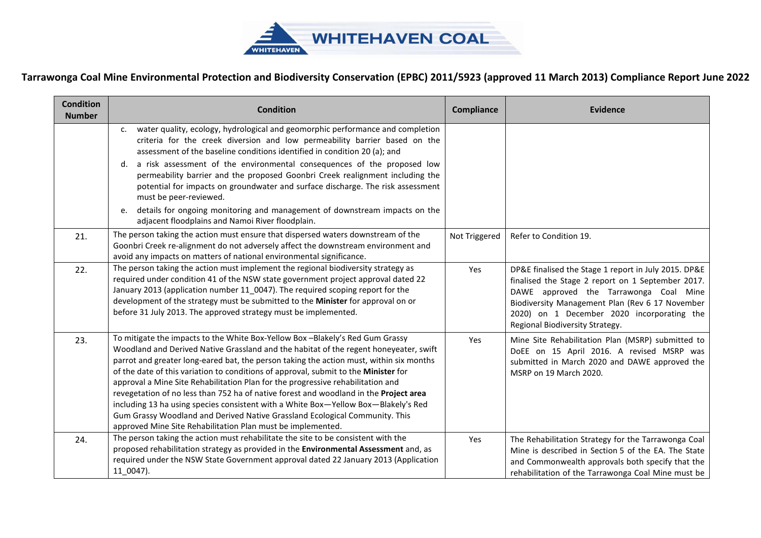

| <b>Condition</b><br><b>Number</b> | <b>Condition</b>                                                                                                                                                                                                                                                                                                                                                                                                                                                                                                                                                                                                                                                                                                                                                        | <b>Compliance</b> | <b>Evidence</b>                                                                                                                                                                                                                                                                         |
|-----------------------------------|-------------------------------------------------------------------------------------------------------------------------------------------------------------------------------------------------------------------------------------------------------------------------------------------------------------------------------------------------------------------------------------------------------------------------------------------------------------------------------------------------------------------------------------------------------------------------------------------------------------------------------------------------------------------------------------------------------------------------------------------------------------------------|-------------------|-----------------------------------------------------------------------------------------------------------------------------------------------------------------------------------------------------------------------------------------------------------------------------------------|
|                                   | water quality, ecology, hydrological and geomorphic performance and completion<br>c.<br>criteria for the creek diversion and low permeability barrier based on the<br>assessment of the baseline conditions identified in condition 20 (a); and                                                                                                                                                                                                                                                                                                                                                                                                                                                                                                                         |                   |                                                                                                                                                                                                                                                                                         |
|                                   | d. a risk assessment of the environmental consequences of the proposed low<br>permeability barrier and the proposed Goonbri Creek realignment including the<br>potential for impacts on groundwater and surface discharge. The risk assessment<br>must be peer-reviewed.                                                                                                                                                                                                                                                                                                                                                                                                                                                                                                |                   |                                                                                                                                                                                                                                                                                         |
|                                   | e. details for ongoing monitoring and management of downstream impacts on the<br>adjacent floodplains and Namoi River floodplain.                                                                                                                                                                                                                                                                                                                                                                                                                                                                                                                                                                                                                                       |                   |                                                                                                                                                                                                                                                                                         |
| 21.                               | The person taking the action must ensure that dispersed waters downstream of the<br>Goonbri Creek re-alignment do not adversely affect the downstream environment and<br>avoid any impacts on matters of national environmental significance.                                                                                                                                                                                                                                                                                                                                                                                                                                                                                                                           | Not Triggered     | Refer to Condition 19.                                                                                                                                                                                                                                                                  |
| 22.                               | The person taking the action must implement the regional biodiversity strategy as<br>required under condition 41 of the NSW state government project approval dated 22<br>January 2013 (application number 11_0047). The required scoping report for the<br>development of the strategy must be submitted to the Minister for approval on or<br>before 31 July 2013. The approved strategy must be implemented.                                                                                                                                                                                                                                                                                                                                                         | Yes               | DP&E finalised the Stage 1 report in July 2015. DP&E<br>finalised the Stage 2 report on 1 September 2017.<br>DAWE approved the Tarrawonga Coal Mine<br>Biodiversity Management Plan (Rev 6 17 November<br>2020) on 1 December 2020 incorporating the<br>Regional Biodiversity Strategy. |
| 23.                               | To mitigate the impacts to the White Box-Yellow Box-Blakely's Red Gum Grassy<br>Woodland and Derived Native Grassland and the habitat of the regent honeyeater, swift<br>parrot and greater long-eared bat, the person taking the action must, within six months<br>of the date of this variation to conditions of approval, submit to the Minister for<br>approval a Mine Site Rehabilitation Plan for the progressive rehabilitation and<br>revegetation of no less than 752 ha of native forest and woodland in the Project area<br>including 13 ha using species consistent with a White Box-Yellow Box-Blakely's Red<br>Gum Grassy Woodland and Derived Native Grassland Ecological Community. This<br>approved Mine Site Rehabilitation Plan must be implemented. | Yes               | Mine Site Rehabilitation Plan (MSRP) submitted to<br>DoEE on 15 April 2016. A revised MSRP was<br>submitted in March 2020 and DAWE approved the<br>MSRP on 19 March 2020.                                                                                                               |
| 24.                               | The person taking the action must rehabilitate the site to be consistent with the<br>proposed rehabilitation strategy as provided in the Environmental Assessment and, as<br>required under the NSW State Government approval dated 22 January 2013 (Application<br>11 0047).                                                                                                                                                                                                                                                                                                                                                                                                                                                                                           | Yes               | The Rehabilitation Strategy for the Tarrawonga Coal<br>Mine is described in Section 5 of the EA. The State<br>and Commonwealth approvals both specify that the<br>rehabilitation of the Tarrawonga Coal Mine must be                                                                    |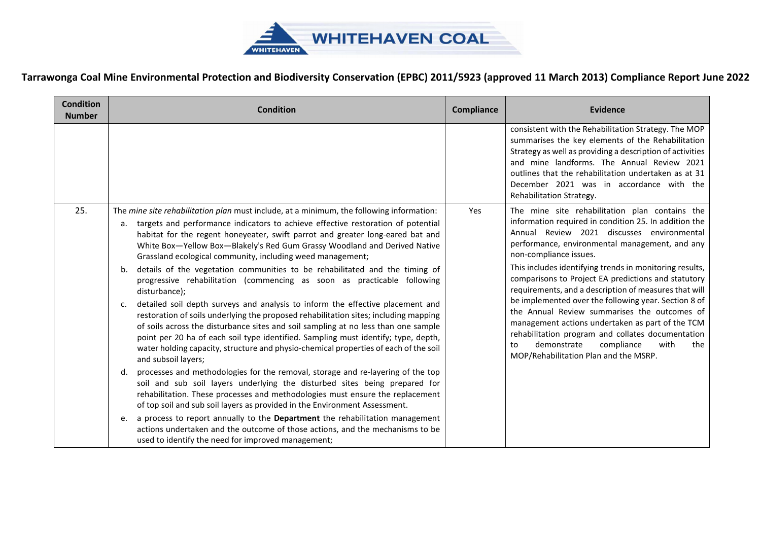

| <b>Condition</b><br><b>Number</b> | <b>Condition</b>                                                                                                                                                                                                                                                                                                                                                                                                                                                                                                                                                                                                                                                                                                                                                                                                                                                                                                                                                                                                                                                                                                                                                                                                                                                                                                                                                                                                                                                                                                                                                                                                                         | Compliance | <b>Evidence</b>                                                                                                                                                                                                                                                                                                                                                                                                                                                                                                                                                                                                                                                                                                          |
|-----------------------------------|------------------------------------------------------------------------------------------------------------------------------------------------------------------------------------------------------------------------------------------------------------------------------------------------------------------------------------------------------------------------------------------------------------------------------------------------------------------------------------------------------------------------------------------------------------------------------------------------------------------------------------------------------------------------------------------------------------------------------------------------------------------------------------------------------------------------------------------------------------------------------------------------------------------------------------------------------------------------------------------------------------------------------------------------------------------------------------------------------------------------------------------------------------------------------------------------------------------------------------------------------------------------------------------------------------------------------------------------------------------------------------------------------------------------------------------------------------------------------------------------------------------------------------------------------------------------------------------------------------------------------------------|------------|--------------------------------------------------------------------------------------------------------------------------------------------------------------------------------------------------------------------------------------------------------------------------------------------------------------------------------------------------------------------------------------------------------------------------------------------------------------------------------------------------------------------------------------------------------------------------------------------------------------------------------------------------------------------------------------------------------------------------|
|                                   |                                                                                                                                                                                                                                                                                                                                                                                                                                                                                                                                                                                                                                                                                                                                                                                                                                                                                                                                                                                                                                                                                                                                                                                                                                                                                                                                                                                                                                                                                                                                                                                                                                          |            | consistent with the Rehabilitation Strategy. The MOP<br>summarises the key elements of the Rehabilitation<br>Strategy as well as providing a description of activities<br>and mine landforms. The Annual Review 2021<br>outlines that the rehabilitation undertaken as at 31<br>December 2021 was in accordance with the<br>Rehabilitation Strategy.                                                                                                                                                                                                                                                                                                                                                                     |
| 25.                               | The mine site rehabilitation plan must include, at a minimum, the following information:<br>a. targets and performance indicators to achieve effective restoration of potential<br>habitat for the regent honeyeater, swift parrot and greater long-eared bat and<br>White Box-Yellow Box-Blakely's Red Gum Grassy Woodland and Derived Native<br>Grassland ecological community, including weed management;<br>details of the vegetation communities to be rehabilitated and the timing of<br>b.<br>progressive rehabilitation (commencing as soon as practicable following<br>disturbance);<br>detailed soil depth surveys and analysis to inform the effective placement and<br>c.<br>restoration of soils underlying the proposed rehabilitation sites; including mapping<br>of soils across the disturbance sites and soil sampling at no less than one sample<br>point per 20 ha of each soil type identified. Sampling must identify; type, depth,<br>water holding capacity, structure and physio-chemical properties of each of the soil<br>and subsoil layers;<br>d. processes and methodologies for the removal, storage and re-layering of the top<br>soil and sub soil layers underlying the disturbed sites being prepared for<br>rehabilitation. These processes and methodologies must ensure the replacement<br>of top soil and sub soil layers as provided in the Environment Assessment.<br>a process to report annually to the Department the rehabilitation management<br>e.<br>actions undertaken and the outcome of those actions, and the mechanisms to be<br>used to identify the need for improved management; | Yes        | The mine site rehabilitation plan contains the<br>information required in condition 25. In addition the<br>Annual Review 2021 discusses environmental<br>performance, environmental management, and any<br>non-compliance issues.<br>This includes identifying trends in monitoring results,<br>comparisons to Project EA predictions and statutory<br>requirements, and a description of measures that will<br>be implemented over the following year. Section 8 of<br>the Annual Review summarises the outcomes of<br>management actions undertaken as part of the TCM<br>rehabilitation program and collates documentation<br>demonstrate<br>compliance<br>with<br>the<br>to<br>MOP/Rehabilitation Plan and the MSRP. |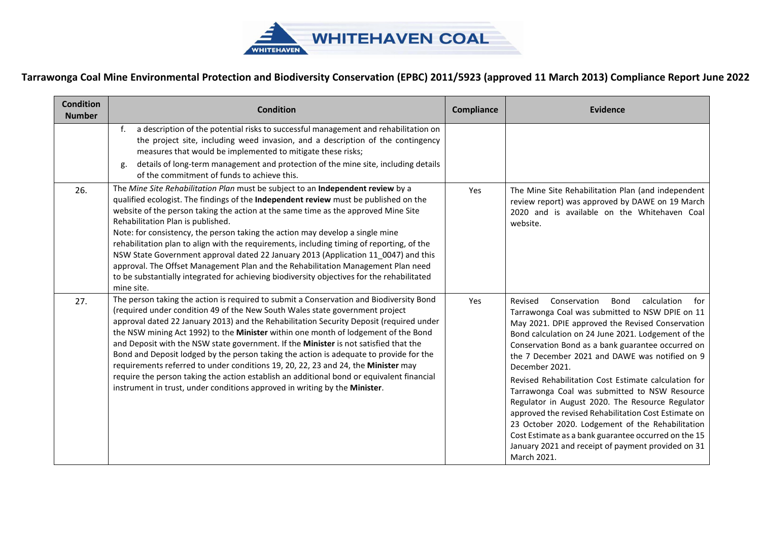

| <b>Condition</b><br><b>Number</b> | <b>Condition</b>                                                                                                                                                                                                                                                                                                                                                                                                                                                                                                                                                                                                                                                                                                                                                                                           | Compliance | <b>Evidence</b>                                                                                                                                                                                                                                                                                                                                                                                                                                                                                                                                                                                                                                                                                                                                   |
|-----------------------------------|------------------------------------------------------------------------------------------------------------------------------------------------------------------------------------------------------------------------------------------------------------------------------------------------------------------------------------------------------------------------------------------------------------------------------------------------------------------------------------------------------------------------------------------------------------------------------------------------------------------------------------------------------------------------------------------------------------------------------------------------------------------------------------------------------------|------------|---------------------------------------------------------------------------------------------------------------------------------------------------------------------------------------------------------------------------------------------------------------------------------------------------------------------------------------------------------------------------------------------------------------------------------------------------------------------------------------------------------------------------------------------------------------------------------------------------------------------------------------------------------------------------------------------------------------------------------------------------|
|                                   | a description of the potential risks to successful management and rehabilitation on<br>$f_{\cdot}$<br>the project site, including weed invasion, and a description of the contingency<br>measures that would be implemented to mitigate these risks;<br>details of long-term management and protection of the mine site, including details<br>g.<br>of the commitment of funds to achieve this.                                                                                                                                                                                                                                                                                                                                                                                                            |            |                                                                                                                                                                                                                                                                                                                                                                                                                                                                                                                                                                                                                                                                                                                                                   |
| 26.                               | The Mine Site Rehabilitation Plan must be subject to an Independent review by a<br>qualified ecologist. The findings of the Independent review must be published on the<br>website of the person taking the action at the same time as the approved Mine Site<br>Rehabilitation Plan is published.<br>Note: for consistency, the person taking the action may develop a single mine<br>rehabilitation plan to align with the requirements, including timing of reporting, of the<br>NSW State Government approval dated 22 January 2013 (Application 11_0047) and this<br>approval. The Offset Management Plan and the Rehabilitation Management Plan need<br>to be substantially integrated for achieving biodiversity objectives for the rehabilitated<br>mine site.                                     | Yes        | The Mine Site Rehabilitation Plan (and independent<br>review report) was approved by DAWE on 19 March<br>2020 and is available on the Whitehaven Coal<br>website.                                                                                                                                                                                                                                                                                                                                                                                                                                                                                                                                                                                 |
| 27.                               | The person taking the action is required to submit a Conservation and Biodiversity Bond<br>(required under condition 49 of the New South Wales state government project<br>approval dated 22 January 2013) and the Rehabilitation Security Deposit (required under<br>the NSW mining Act 1992) to the Minister within one month of lodgement of the Bond<br>and Deposit with the NSW state government. If the Minister is not satisfied that the<br>Bond and Deposit lodged by the person taking the action is adequate to provide for the<br>requirements referred to under conditions 19, 20, 22, 23 and 24, the Minister may<br>require the person taking the action establish an additional bond or equivalent financial<br>instrument in trust, under conditions approved in writing by the Minister. | Yes        | Conservation<br>Bond<br>calculation<br>Revised<br>for<br>Tarrawonga Coal was submitted to NSW DPIE on 11<br>May 2021. DPIE approved the Revised Conservation<br>Bond calculation on 24 June 2021. Lodgement of the<br>Conservation Bond as a bank guarantee occurred on<br>the 7 December 2021 and DAWE was notified on 9<br>December 2021.<br>Revised Rehabilitation Cost Estimate calculation for<br>Tarrawonga Coal was submitted to NSW Resource<br>Regulator in August 2020. The Resource Regulator<br>approved the revised Rehabilitation Cost Estimate on<br>23 October 2020. Lodgement of the Rehabilitation<br>Cost Estimate as a bank guarantee occurred on the 15<br>January 2021 and receipt of payment provided on 31<br>March 2021. |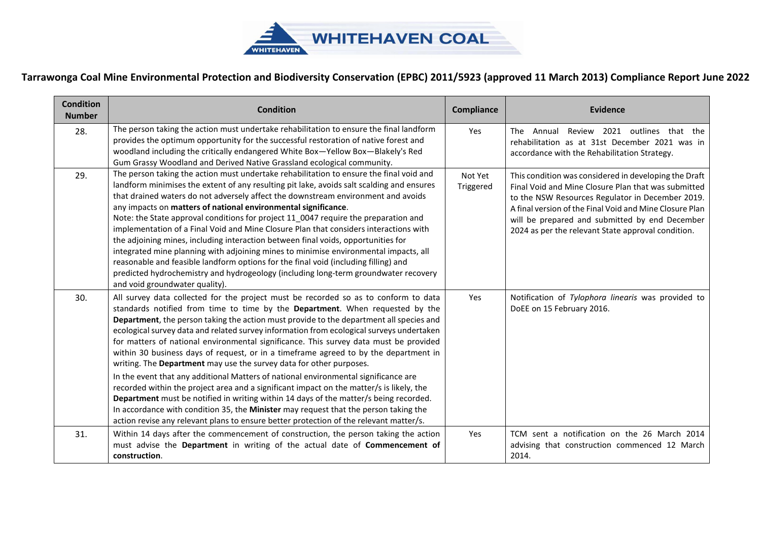

| <b>Condition</b><br><b>Number</b> | <b>Condition</b>                                                                                                                                                                                                                                                                                                                                                                                                                                                                                                                                                                                                                                                                                                                                                                                                                                                                                                                                                                                                                                                                  | <b>Compliance</b>    | Evidence                                                                                                                                                                                                                                                                                                                            |
|-----------------------------------|-----------------------------------------------------------------------------------------------------------------------------------------------------------------------------------------------------------------------------------------------------------------------------------------------------------------------------------------------------------------------------------------------------------------------------------------------------------------------------------------------------------------------------------------------------------------------------------------------------------------------------------------------------------------------------------------------------------------------------------------------------------------------------------------------------------------------------------------------------------------------------------------------------------------------------------------------------------------------------------------------------------------------------------------------------------------------------------|----------------------|-------------------------------------------------------------------------------------------------------------------------------------------------------------------------------------------------------------------------------------------------------------------------------------------------------------------------------------|
| 28.                               | The person taking the action must undertake rehabilitation to ensure the final landform<br>provides the optimum opportunity for the successful restoration of native forest and<br>woodland including the critically endangered White Box-Yellow Box-Blakely's Red<br>Gum Grassy Woodland and Derived Native Grassland ecological community.                                                                                                                                                                                                                                                                                                                                                                                                                                                                                                                                                                                                                                                                                                                                      | Yes                  | Review 2021 outlines that the<br>Annual<br>The<br>rehabilitation as at 31st December 2021 was in<br>accordance with the Rehabilitation Strategy.                                                                                                                                                                                    |
| 29.                               | The person taking the action must undertake rehabilitation to ensure the final void and<br>landform minimises the extent of any resulting pit lake, avoids salt scalding and ensures<br>that drained waters do not adversely affect the downstream environment and avoids<br>any impacts on matters of national environmental significance.<br>Note: the State approval conditions for project 11 0047 require the preparation and<br>implementation of a Final Void and Mine Closure Plan that considers interactions with<br>the adjoining mines, including interaction between final voids, opportunities for<br>integrated mine planning with adjoining mines to minimise environmental impacts, all<br>reasonable and feasible landform options for the final void (including filling) and<br>predicted hydrochemistry and hydrogeology (including long-term groundwater recovery<br>and void groundwater quality).                                                                                                                                                          | Not Yet<br>Triggered | This condition was considered in developing the Draft<br>Final Void and Mine Closure Plan that was submitted<br>to the NSW Resources Regulator in December 2019.<br>A final version of the Final Void and Mine Closure Plan<br>will be prepared and submitted by end December<br>2024 as per the relevant State approval condition. |
| 30.                               | All survey data collected for the project must be recorded so as to conform to data<br>standards notified from time to time by the Department. When requested by the<br>Department, the person taking the action must provide to the department all species and<br>ecological survey data and related survey information from ecological surveys undertaken<br>for matters of national environmental significance. This survey data must be provided<br>within 30 business days of request, or in a timeframe agreed to by the department in<br>writing. The Department may use the survey data for other purposes.<br>In the event that any additional Matters of national environmental significance are<br>recorded within the project area and a significant impact on the matter/s is likely, the<br>Department must be notified in writing within 14 days of the matter/s being recorded.<br>In accordance with condition 35, the Minister may request that the person taking the<br>action revise any relevant plans to ensure better protection of the relevant matter/s. | Yes                  | Notification of Tylophora linearis was provided to<br>DoEE on 15 February 2016.                                                                                                                                                                                                                                                     |
| 31.                               | Within 14 days after the commencement of construction, the person taking the action<br>must advise the Department in writing of the actual date of Commencement of<br>construction.                                                                                                                                                                                                                                                                                                                                                                                                                                                                                                                                                                                                                                                                                                                                                                                                                                                                                               | Yes                  | TCM sent a notification on the 26 March 2014<br>advising that construction commenced 12 March<br>2014.                                                                                                                                                                                                                              |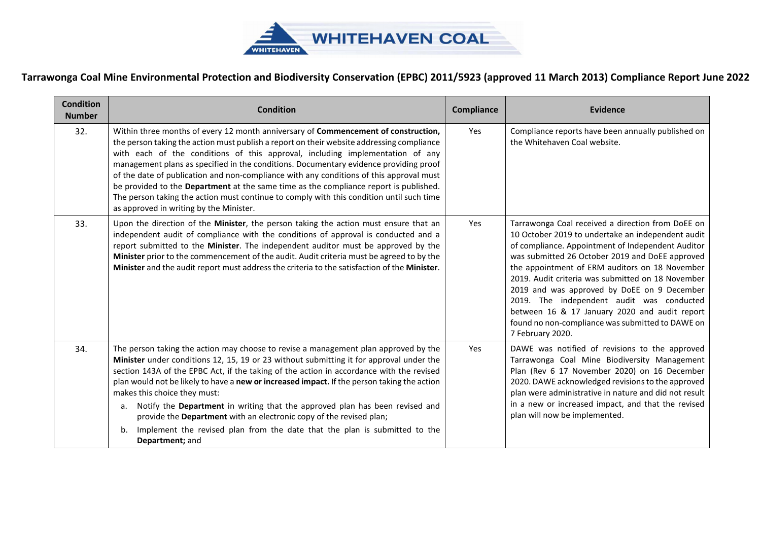

| <b>Condition</b><br><b>Number</b> | <b>Condition</b>                                                                                                                                                                                                                                                                                                                                                                                                                                                                                                                                                                                                                                                                     | Compliance | <b>Evidence</b>                                                                                                                                                                                                                                                                                                                                                                                                                                                                                                                            |
|-----------------------------------|--------------------------------------------------------------------------------------------------------------------------------------------------------------------------------------------------------------------------------------------------------------------------------------------------------------------------------------------------------------------------------------------------------------------------------------------------------------------------------------------------------------------------------------------------------------------------------------------------------------------------------------------------------------------------------------|------------|--------------------------------------------------------------------------------------------------------------------------------------------------------------------------------------------------------------------------------------------------------------------------------------------------------------------------------------------------------------------------------------------------------------------------------------------------------------------------------------------------------------------------------------------|
| 32.                               | Within three months of every 12 month anniversary of Commencement of construction,<br>the person taking the action must publish a report on their website addressing compliance<br>with each of the conditions of this approval, including implementation of any<br>management plans as specified in the conditions. Documentary evidence providing proof<br>of the date of publication and non-compliance with any conditions of this approval must<br>be provided to the Department at the same time as the compliance report is published.<br>The person taking the action must continue to comply with this condition until such time<br>as approved in writing by the Minister. | Yes        | Compliance reports have been annually published on<br>the Whitehaven Coal website.                                                                                                                                                                                                                                                                                                                                                                                                                                                         |
| 33.                               | Upon the direction of the Minister, the person taking the action must ensure that an<br>independent audit of compliance with the conditions of approval is conducted and a<br>report submitted to the Minister. The independent auditor must be approved by the<br>Minister prior to the commencement of the audit. Audit criteria must be agreed to by the<br>Minister and the audit report must address the criteria to the satisfaction of the Minister.                                                                                                                                                                                                                          | Yes        | Tarrawonga Coal received a direction from DoEE on<br>10 October 2019 to undertake an independent audit<br>of compliance. Appointment of Independent Auditor<br>was submitted 26 October 2019 and DoEE approved<br>the appointment of ERM auditors on 18 November<br>2019. Audit criteria was submitted on 18 November<br>2019 and was approved by DoEE on 9 December<br>2019. The independent audit was conducted<br>between 16 & 17 January 2020 and audit report<br>found no non-compliance was submitted to DAWE on<br>7 February 2020. |
| 34.                               | The person taking the action may choose to revise a management plan approved by the<br>Minister under conditions 12, 15, 19 or 23 without submitting it for approval under the<br>section 143A of the EPBC Act, if the taking of the action in accordance with the revised<br>plan would not be likely to have a new or increased impact. If the person taking the action<br>makes this choice they must:<br>Notify the Department in writing that the approved plan has been revised and<br>а.<br>provide the Department with an electronic copy of the revised plan;<br>Implement the revised plan from the date that the plan is submitted to the<br>b.<br>Department; and        | Yes        | DAWE was notified of revisions to the approved<br>Tarrawonga Coal Mine Biodiversity Management<br>Plan (Rev 6 17 November 2020) on 16 December<br>2020. DAWE acknowledged revisions to the approved<br>plan were administrative in nature and did not result<br>in a new or increased impact, and that the revised<br>plan will now be implemented.                                                                                                                                                                                        |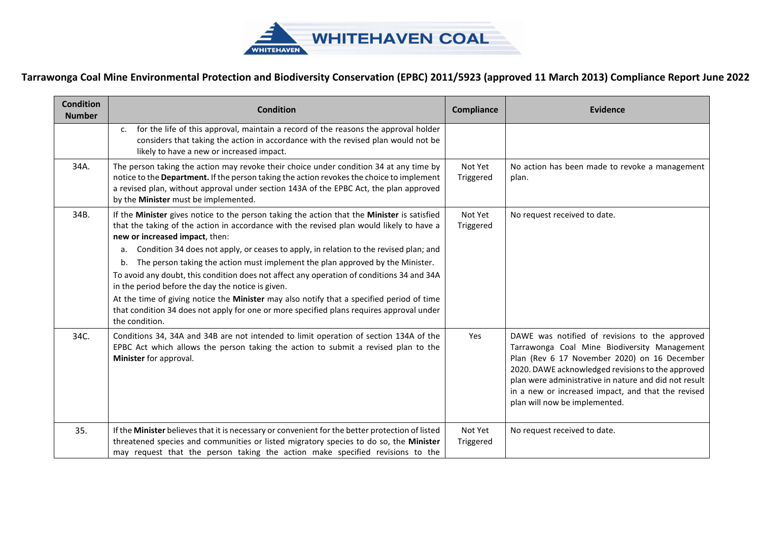

| <b>Condition</b><br><b>Number</b> | <b>Condition</b>                                                                                                                                                                                                                                                                                                                      | <b>Compliance</b>    | Evidence                                                                                                                                                                                                                                                                                                                                            |
|-----------------------------------|---------------------------------------------------------------------------------------------------------------------------------------------------------------------------------------------------------------------------------------------------------------------------------------------------------------------------------------|----------------------|-----------------------------------------------------------------------------------------------------------------------------------------------------------------------------------------------------------------------------------------------------------------------------------------------------------------------------------------------------|
|                                   | for the life of this approval, maintain a record of the reasons the approval holder<br>C <sub>1</sub><br>considers that taking the action in accordance with the revised plan would not be<br>likely to have a new or increased impact.                                                                                               |                      |                                                                                                                                                                                                                                                                                                                                                     |
| 34A.                              | The person taking the action may revoke their choice under condition 34 at any time by<br>notice to the Department. If the person taking the action revokes the choice to implement<br>a revised plan, without approval under section 143A of the EPBC Act, the plan approved<br>by the Minister must be implemented.                 | Not Yet<br>Triggered | No action has been made to revoke a management<br>plan.                                                                                                                                                                                                                                                                                             |
| 34B.                              | If the Minister gives notice to the person taking the action that the Minister is satisfied<br>that the taking of the action in accordance with the revised plan would likely to have a<br>new or increased impact, then:                                                                                                             | Not Yet<br>Triggered | No request received to date.                                                                                                                                                                                                                                                                                                                        |
|                                   | Condition 34 does not apply, or ceases to apply, in relation to the revised plan; and<br>a.<br>The person taking the action must implement the plan approved by the Minister.<br>b.<br>To avoid any doubt, this condition does not affect any operation of conditions 34 and 34A<br>in the period before the day the notice is given. |                      |                                                                                                                                                                                                                                                                                                                                                     |
|                                   | At the time of giving notice the Minister may also notify that a specified period of time<br>that condition 34 does not apply for one or more specified plans requires approval under<br>the condition.                                                                                                                               |                      |                                                                                                                                                                                                                                                                                                                                                     |
| 34C.                              | Conditions 34, 34A and 34B are not intended to limit operation of section 134A of the<br>EPBC Act which allows the person taking the action to submit a revised plan to the<br>Minister for approval.                                                                                                                                 | Yes                  | DAWE was notified of revisions to the approved<br>Tarrawonga Coal Mine Biodiversity Management<br>Plan (Rev 6 17 November 2020) on 16 December<br>2020. DAWE acknowledged revisions to the approved<br>plan were administrative in nature and did not result<br>in a new or increased impact, and that the revised<br>plan will now be implemented. |
| 35.                               | If the Minister believes that it is necessary or convenient for the better protection of listed<br>threatened species and communities or listed migratory species to do so, the Minister<br>may request that the person taking the action make specified revisions to the                                                             | Not Yet<br>Triggered | No request received to date.                                                                                                                                                                                                                                                                                                                        |